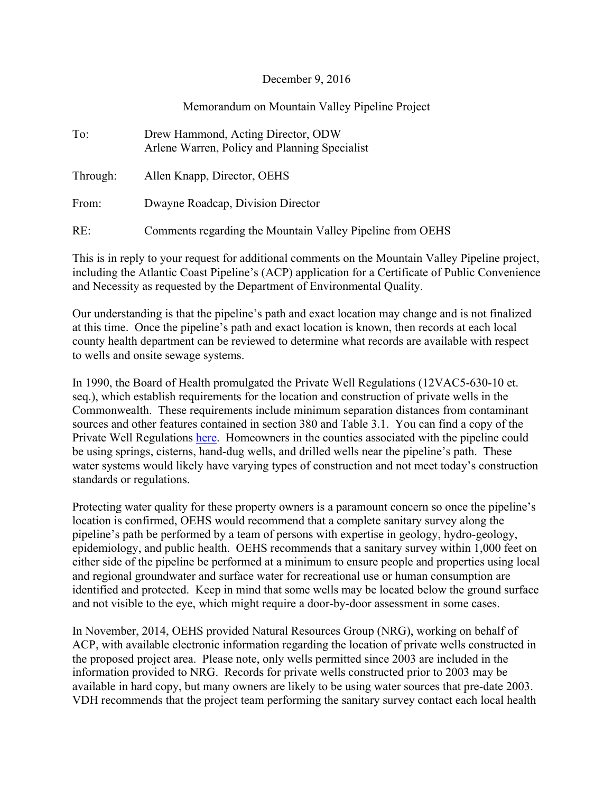## December 9, 2016

## Memorandum on Mountain Valley Pipeline Project

| To:      | Drew Hammond, Acting Director, ODW<br>Arlene Warren, Policy and Planning Specialist |
|----------|-------------------------------------------------------------------------------------|
| Through: | Allen Knapp, Director, OEHS                                                         |
| From:    | Dwayne Roadcap, Division Director                                                   |
| RE:      | Comments regarding the Mountain Valley Pipeline from OEHS                           |

This is in reply to your request for additional comments on the Mountain Valley Pipeline project, including the Atlantic Coast Pipeline's (ACP) application for a Certificate of Public Convenience and Necessity as requested by the Department of Environmental Quality.

Our understanding is that the pipeline's path and exact location may change and is not finalized at this time. Once the pipeline's path and exact location is known, then records at each local county health department can be reviewed to determine what records are available with respect to wells and onsite sewage systems.

In 1990, the Board of Health promulgated the Private Well Regulations (12VAC5-630-10 et. seq.), which establish requirements for the location and construction of private wells in the Commonwealth. These requirements include minimum separation distances from contaminant sources and other features contained in section 380 and Table 3.1. You can find a copy of the Private Well Regulations here. Homeowners in the counties associated with the pipeline could be using springs, cisterns, hand-dug wells, and drilled wells near the pipeline's path. These water systems would likely have varying types of construction and not meet today's construction standards or regulations.

Protecting water quality for these property owners is a paramount concern so once the pipeline's location is confirmed, OEHS would recommend that a complete sanitary survey along the pipeline's path be performed by a team of persons with expertise in geology, hydro-geology, epidemiology, and public health. OEHS recommends that a sanitary survey within 1,000 feet on either side of the pipeline be performed at a minimum to ensure people and properties using local and regional groundwater and surface water for recreational use or human consumption are identified and protected. Keep in mind that some wells may be located below the ground surface and not visible to the eye, which might require a door-by-door assessment in some cases.

In November, 2014, OEHS provided Natural Resources Group (NRG), working on behalf of ACP, with available electronic information regarding the location of private wells constructed in the proposed project area. Please note, only wells permitted since 2003 are included in the information provided to NRG. Records for private wells constructed prior to 2003 may be available in hard copy, but many owners are likely to be using water sources that pre-date 2003. VDH recommends that the project team performing the sanitary survey contact each local health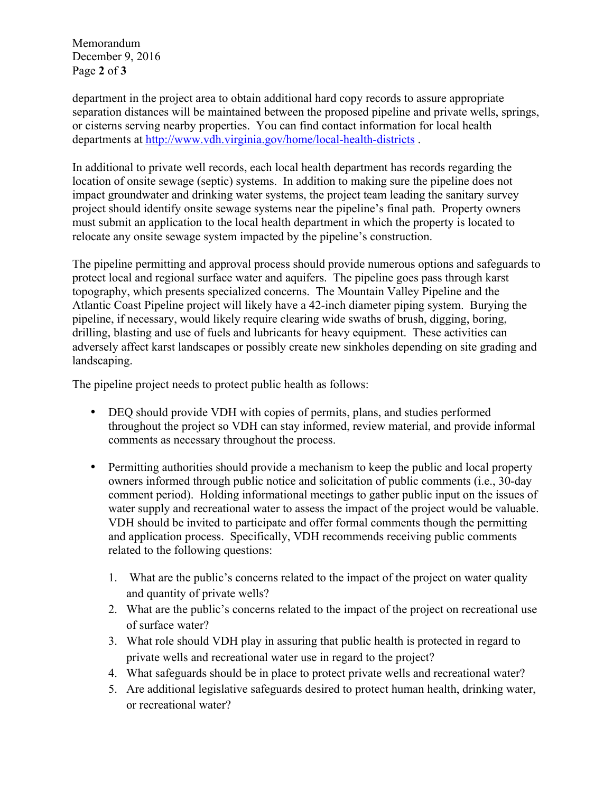Memorandum December 9, 2016 Page **2** of **3**

department in the project area to obtain additional hard copy records to assure appropriate separation distances will be maintained between the proposed pipeline and private wells, springs, or cisterns serving nearby properties. You can find contact information for local health departments at http://www.vdh.virginia.gov/home/local-health-districts .

In additional to private well records, each local health department has records regarding the location of onsite sewage (septic) systems. In addition to making sure the pipeline does not impact groundwater and drinking water systems, the project team leading the sanitary survey project should identify onsite sewage systems near the pipeline's final path. Property owners must submit an application to the local health department in which the property is located to relocate any onsite sewage system impacted by the pipeline's construction.

The pipeline permitting and approval process should provide numerous options and safeguards to protect local and regional surface water and aquifers. The pipeline goes pass through karst topography, which presents specialized concerns. The Mountain Valley Pipeline and the Atlantic Coast Pipeline project will likely have a 42-inch diameter piping system. Burying the pipeline, if necessary, would likely require clearing wide swaths of brush, digging, boring, drilling, blasting and use of fuels and lubricants for heavy equipment. These activities can adversely affect karst landscapes or possibly create new sinkholes depending on site grading and landscaping.

The pipeline project needs to protect public health as follows:

- DEQ should provide VDH with copies of permits, plans, and studies performed throughout the project so VDH can stay informed, review material, and provide informal comments as necessary throughout the process.
- Permitting authorities should provide a mechanism to keep the public and local property owners informed through public notice and solicitation of public comments (i.e., 30-day comment period). Holding informational meetings to gather public input on the issues of water supply and recreational water to assess the impact of the project would be valuable. VDH should be invited to participate and offer formal comments though the permitting and application process. Specifically, VDH recommends receiving public comments related to the following questions:
	- 1. What are the public's concerns related to the impact of the project on water quality and quantity of private wells?
	- 2. What are the public's concerns related to the impact of the project on recreational use of surface water?
	- 3. What role should VDH play in assuring that public health is protected in regard to private wells and recreational water use in regard to the project?
	- 4. What safeguards should be in place to protect private wells and recreational water?
	- 5. Are additional legislative safeguards desired to protect human health, drinking water, or recreational water?